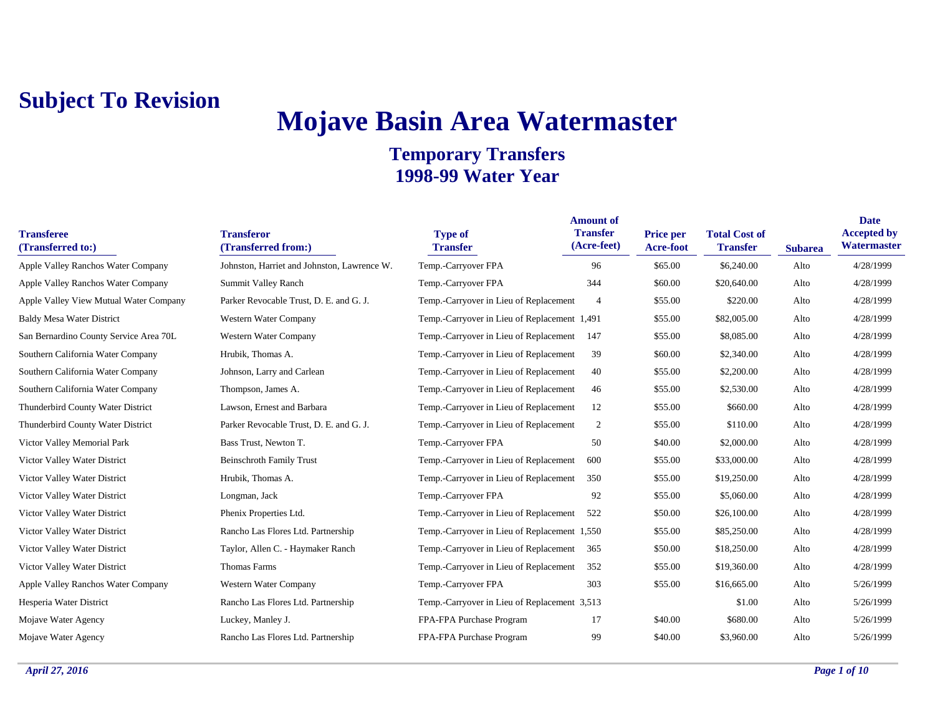# **Mojave Basin Area Watermaster**

| <b>Transferee</b><br>(Transferred to:)    | <b>Transferor</b><br>(Transferred from:)    | <b>Type of</b><br><b>Transfer</b>            | <b>Amount of</b><br><b>Transfer</b><br>(Acre-feet) | <b>Price per</b><br>Acre-foot | <b>Total Cost of</b><br><b>Transfer</b> | <b>Subarea</b> | <b>Date</b><br><b>Accepted by</b><br>Watermaster |
|-------------------------------------------|---------------------------------------------|----------------------------------------------|----------------------------------------------------|-------------------------------|-----------------------------------------|----------------|--------------------------------------------------|
| <b>Apple Valley Ranchos Water Company</b> | Johnston, Harriet and Johnston, Lawrence W. | Temp.-Carryover FPA                          | 96                                                 | \$65.00                       | \$6,240.00                              | Alto           | 4/28/1999                                        |
| <b>Apple Valley Ranchos Water Company</b> | Summit Valley Ranch                         | Temp.-Carryover FPA                          | 344                                                | \$60.00                       | \$20,640.00                             | Alto           | 4/28/1999                                        |
| Apple Valley View Mutual Water Company    | Parker Revocable Trust, D. E. and G. J.     | Temp.-Carryover in Lieu of Replacement       | $\overline{4}$                                     | \$55.00                       | \$220.00                                | Alto           | 4/28/1999                                        |
| <b>Baldy Mesa Water District</b>          | Western Water Company                       | Temp.-Carryover in Lieu of Replacement 1,491 |                                                    | \$55.00                       | \$82,005.00                             | Alto           | 4/28/1999                                        |
| San Bernardino County Service Area 70L    | Western Water Company                       | Temp.-Carryover in Lieu of Replacement       | 147                                                | \$55.00                       | \$8,085.00                              | Alto           | 4/28/1999                                        |
| Southern California Water Company         | Hrubik, Thomas A.                           | Temp.-Carryover in Lieu of Replacement       | 39                                                 | \$60.00                       | \$2,340.00                              | Alto           | 4/28/1999                                        |
| Southern California Water Company         | Johnson, Larry and Carlean                  | Temp.-Carryover in Lieu of Replacement       | 40                                                 | \$55.00                       | \$2,200.00                              | Alto           | 4/28/1999                                        |
| Southern California Water Company         | Thompson, James A.                          | Temp.-Carryover in Lieu of Replacement       | 46                                                 | \$55.00                       | \$2,530.00                              | Alto           | 4/28/1999                                        |
| Thunderbird County Water District         | Lawson, Ernest and Barbara                  | Temp.-Carryover in Lieu of Replacement       | 12                                                 | \$55.00                       | \$660.00                                | Alto           | 4/28/1999                                        |
| Thunderbird County Water District         | Parker Revocable Trust, D. E. and G. J.     | Temp.-Carryover in Lieu of Replacement       | 2                                                  | \$55.00                       | \$110.00                                | Alto           | 4/28/1999                                        |
| Victor Valley Memorial Park               | Bass Trust, Newton T.                       | Temp.-Carryover FPA                          | 50                                                 | \$40.00                       | \$2,000.00                              | Alto           | 4/28/1999                                        |
| Victor Valley Water District              | <b>Beinschroth Family Trust</b>             | Temp.-Carryover in Lieu of Replacement       | 600                                                | \$55.00                       | \$33,000.00                             | Alto           | 4/28/1999                                        |
| Victor Valley Water District              | Hrubik, Thomas A.                           | Temp.-Carryover in Lieu of Replacement       | 350                                                | \$55.00                       | \$19,250.00                             | Alto           | 4/28/1999                                        |
| Victor Valley Water District              | Longman, Jack                               | Temp.-Carryover FPA                          | 92                                                 | \$55.00                       | \$5,060.00                              | Alto           | 4/28/1999                                        |
| Victor Valley Water District              | Phenix Properties Ltd.                      | Temp.-Carryover in Lieu of Replacement       | 522                                                | \$50.00                       | \$26,100.00                             | Alto           | 4/28/1999                                        |
| Victor Valley Water District              | Rancho Las Flores Ltd. Partnership          | Temp.-Carryover in Lieu of Replacement 1,550 |                                                    | \$55.00                       | \$85,250.00                             | Alto           | 4/28/1999                                        |
| Victor Valley Water District              | Taylor, Allen C. - Haymaker Ranch           | Temp.-Carryover in Lieu of Replacement       | 365                                                | \$50.00                       | \$18,250.00                             | Alto           | 4/28/1999                                        |
| Victor Valley Water District              | Thomas Farms                                | Temp.-Carryover in Lieu of Replacement       | 352                                                | \$55.00                       | \$19,360.00                             | Alto           | 4/28/1999                                        |
| <b>Apple Valley Ranchos Water Company</b> | Western Water Company                       | Temp.-Carryover FPA                          | 303                                                | \$55.00                       | \$16,665.00                             | Alto           | 5/26/1999                                        |
| Hesperia Water District                   | Rancho Las Flores Ltd. Partnership          | Temp.-Carryover in Lieu of Replacement 3,513 |                                                    |                               | \$1.00                                  | Alto           | 5/26/1999                                        |
| Mojave Water Agency                       | Luckey, Manley J.                           | FPA-FPA Purchase Program                     | 17                                                 | \$40.00                       | \$680.00                                | Alto           | 5/26/1999                                        |
| Mojave Water Agency                       | Rancho Las Flores Ltd. Partnership          | FPA-FPA Purchase Program                     | 99                                                 | \$40.00                       | \$3,960.00                              | Alto           | 5/26/1999                                        |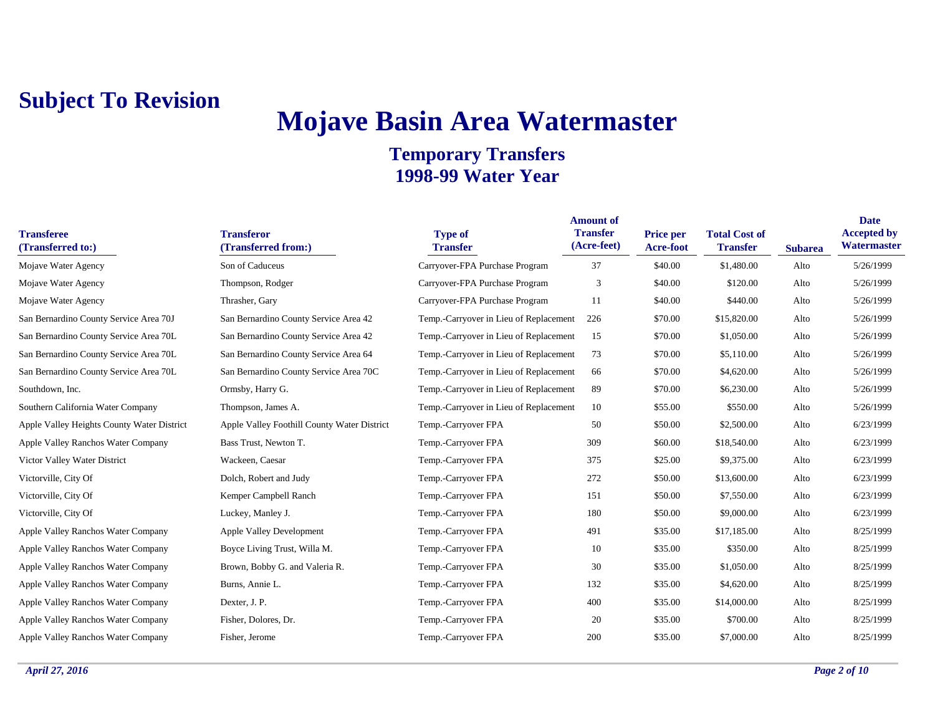## **Mojave Basin Area Watermaster**

| <b>Transferee</b><br>(Transferred to:)     | <b>Transferor</b><br>(Transferred from:)    | <b>Type of</b><br><b>Transfer</b>      | <b>Amount of</b><br><b>Transfer</b><br>(Acre-feet) | <b>Price per</b><br>Acre-foot | <b>Total Cost of</b><br><b>Transfer</b> | <b>Subarea</b> | <b>Date</b><br><b>Accepted by</b><br>Watermaster |
|--------------------------------------------|---------------------------------------------|----------------------------------------|----------------------------------------------------|-------------------------------|-----------------------------------------|----------------|--------------------------------------------------|
| Mojave Water Agency                        | Son of Caduceus                             | Carryover-FPA Purchase Program         | 37                                                 | \$40.00                       | \$1,480.00                              | Alto           | 5/26/1999                                        |
| Mojave Water Agency                        | Thompson, Rodger                            | Carryover-FPA Purchase Program         | 3                                                  | \$40.00                       | \$120.00                                | Alto           | 5/26/1999                                        |
| Mojave Water Agency                        | Thrasher, Gary                              | Carryover-FPA Purchase Program         | 11                                                 | \$40.00                       | \$440.00                                | Alto           | 5/26/1999                                        |
| San Bernardino County Service Area 70J     | San Bernardino County Service Area 42       | Temp.-Carryover in Lieu of Replacement | 226                                                | \$70.00                       | \$15,820.00                             | Alto           | 5/26/1999                                        |
| San Bernardino County Service Area 70L     | San Bernardino County Service Area 42       | Temp.-Carryover in Lieu of Replacement | 15                                                 | \$70.00                       | \$1,050.00                              | Alto           | 5/26/1999                                        |
| San Bernardino County Service Area 70L     | San Bernardino County Service Area 64       | Temp.-Carryover in Lieu of Replacement | 73                                                 | \$70.00                       | \$5,110.00                              | Alto           | 5/26/1999                                        |
| San Bernardino County Service Area 70L     | San Bernardino County Service Area 70C      | Temp.-Carryover in Lieu of Replacement | 66                                                 | \$70.00                       | \$4,620.00                              | Alto           | 5/26/1999                                        |
| Southdown, Inc.                            | Ormsby, Harry G.                            | Temp.-Carryover in Lieu of Replacement | 89                                                 | \$70.00                       | \$6,230.00                              | Alto           | 5/26/1999                                        |
| Southern California Water Company          | Thompson, James A.                          | Temp.-Carryover in Lieu of Replacement | 10                                                 | \$55.00                       | \$550.00                                | Alto           | 5/26/1999                                        |
| Apple Valley Heights County Water District | Apple Valley Foothill County Water District | Temp.-Carryover FPA                    | 50                                                 | \$50.00                       | \$2,500.00                              | Alto           | 6/23/1999                                        |
| Apple Valley Ranchos Water Company         | Bass Trust, Newton T.                       | Temp.-Carryover FPA                    | 309                                                | \$60.00                       | \$18,540.00                             | Alto           | 6/23/1999                                        |
| Victor Valley Water District               | Wackeen, Caesar                             | Temp.-Carryover FPA                    | 375                                                | \$25.00                       | \$9,375.00                              | Alto           | 6/23/1999                                        |
| Victorville, City Of                       | Dolch, Robert and Judy                      | Temp.-Carryover FPA                    | 272                                                | \$50.00                       | \$13,600.00                             | Alto           | 6/23/1999                                        |
| Victorville, City Of                       | Kemper Campbell Ranch                       | Temp.-Carryover FPA                    | 151                                                | \$50.00                       | \$7,550.00                              | Alto           | 6/23/1999                                        |
| Victorville, City Of                       | Luckey, Manley J.                           | Temp.-Carryover FPA                    | 180                                                | \$50.00                       | \$9,000.00                              | Alto           | 6/23/1999                                        |
| Apple Valley Ranchos Water Company         | <b>Apple Valley Development</b>             | Temp.-Carryover FPA                    | 491                                                | \$35.00                       | \$17,185.00                             | Alto           | 8/25/1999                                        |
| Apple Valley Ranchos Water Company         | Boyce Living Trust, Willa M.                | Temp.-Carryover FPA                    | 10                                                 | \$35.00                       | \$350.00                                | Alto           | 8/25/1999                                        |
| Apple Valley Ranchos Water Company         | Brown, Bobby G. and Valeria R.              | Temp.-Carryover FPA                    | 30                                                 | \$35.00                       | \$1,050.00                              | Alto           | 8/25/1999                                        |
| Apple Valley Ranchos Water Company         | Burns, Annie L.                             | Temp.-Carryover FPA                    | 132                                                | \$35.00                       | \$4,620.00                              | Alto           | 8/25/1999                                        |
| Apple Valley Ranchos Water Company         | Dexter, J. P.                               | Temp.-Carryover FPA                    | 400                                                | \$35.00                       | \$14,000.00                             | Alto           | 8/25/1999                                        |
| Apple Valley Ranchos Water Company         | Fisher, Dolores, Dr.                        | Temp.-Carryover FPA                    | 20                                                 | \$35.00                       | \$700.00                                | Alto           | 8/25/1999                                        |
| Apple Valley Ranchos Water Company         | Fisher, Jerome                              | Temp.-Carryover FPA                    | 200                                                | \$35.00                       | \$7,000.00                              | Alto           | 8/25/1999                                        |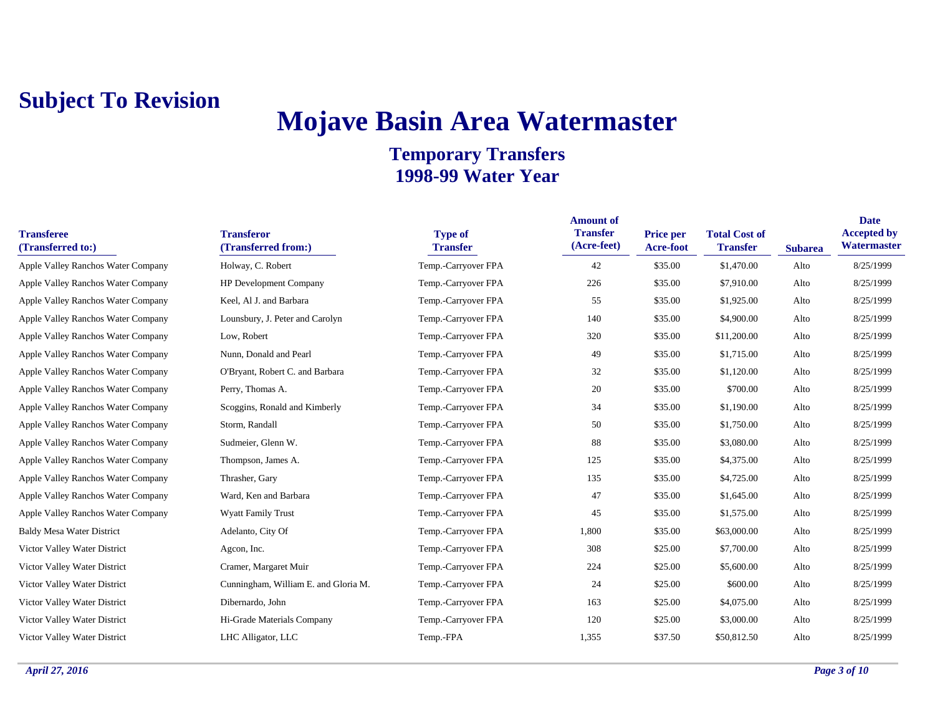## **Mojave Basin Area Watermaster**

| <b>Transferee</b><br>(Transferred to:) | <b>Transferor</b><br>(Transferred from:) | <b>Type of</b><br><b>Transfer</b> | <b>Amount of</b><br><b>Transfer</b><br>(Acre-feet) | <b>Price per</b><br>Acre-foot | <b>Total Cost of</b><br><b>Transfer</b> | <b>Subarea</b> | <b>Date</b><br><b>Accepted by</b><br>Watermaster |
|----------------------------------------|------------------------------------------|-----------------------------------|----------------------------------------------------|-------------------------------|-----------------------------------------|----------------|--------------------------------------------------|
| Apple Valley Ranchos Water Company     | Holway, C. Robert                        | Temp.-Carryover FPA               | 42                                                 | \$35.00                       | \$1,470.00                              | Alto           | 8/25/1999                                        |
| Apple Valley Ranchos Water Company     | <b>HP Development Company</b>            | Temp.-Carryover FPA               | 226                                                | \$35.00                       | \$7,910.00                              | Alto           | 8/25/1999                                        |
| Apple Valley Ranchos Water Company     | Keel, Al J. and Barbara                  | Temp.-Carryover FPA               | 55                                                 | \$35.00                       | \$1,925.00                              | Alto           | 8/25/1999                                        |
| Apple Valley Ranchos Water Company     | Lounsbury, J. Peter and Carolyn          | Temp.-Carryover FPA               | 140                                                | \$35.00                       | \$4,900.00                              | Alto           | 8/25/1999                                        |
| Apple Valley Ranchos Water Company     | Low, Robert                              | Temp.-Carryover FPA               | 320                                                | \$35.00                       | \$11,200.00                             | Alto           | 8/25/1999                                        |
| Apple Valley Ranchos Water Company     | Nunn, Donald and Pearl                   | Temp.-Carryover FPA               | 49                                                 | \$35.00                       | \$1,715.00                              | Alto           | 8/25/1999                                        |
| Apple Valley Ranchos Water Company     | O'Bryant, Robert C. and Barbara          | Temp.-Carryover FPA               | 32                                                 | \$35.00                       | \$1,120.00                              | Alto           | 8/25/1999                                        |
| Apple Valley Ranchos Water Company     | Perry, Thomas A.                         | Temp.-Carryover FPA               | 20                                                 | \$35.00                       | \$700.00                                | Alto           | 8/25/1999                                        |
| Apple Valley Ranchos Water Company     | Scoggins, Ronald and Kimberly            | Temp.-Carryover FPA               | 34                                                 | \$35.00                       | \$1,190.00                              | Alto           | 8/25/1999                                        |
| Apple Valley Ranchos Water Company     | Storm, Randall                           | Temp.-Carryover FPA               | 50                                                 | \$35.00                       | \$1,750.00                              | Alto           | 8/25/1999                                        |
| Apple Valley Ranchos Water Company     | Sudmeier, Glenn W.                       | Temp.-Carryover FPA               | 88                                                 | \$35.00                       | \$3,080.00                              | Alto           | 8/25/1999                                        |
| Apple Valley Ranchos Water Company     | Thompson, James A.                       | Temp.-Carryover FPA               | 125                                                | \$35.00                       | \$4,375.00                              | Alto           | 8/25/1999                                        |
| Apple Valley Ranchos Water Company     | Thrasher, Gary                           | Temp.-Carryover FPA               | 135                                                | \$35.00                       | \$4,725.00                              | Alto           | 8/25/1999                                        |
| Apple Valley Ranchos Water Company     | Ward, Ken and Barbara                    | Temp.-Carryover FPA               | 47                                                 | \$35.00                       | \$1,645.00                              | Alto           | 8/25/1999                                        |
| Apple Valley Ranchos Water Company     | <b>Wyatt Family Trust</b>                | Temp.-Carryover FPA               | 45                                                 | \$35.00                       | \$1,575.00                              | Alto           | 8/25/1999                                        |
| <b>Baldy Mesa Water District</b>       | Adelanto, City Of                        | Temp.-Carryover FPA               | 1,800                                              | \$35.00                       | \$63,000.00                             | Alto           | 8/25/1999                                        |
| Victor Valley Water District           | Agcon, Inc.                              | Temp.-Carryover FPA               | 308                                                | \$25.00                       | \$7,700.00                              | Alto           | 8/25/1999                                        |
| Victor Valley Water District           | Cramer, Margaret Muir                    | Temp.-Carryover FPA               | 224                                                | \$25.00                       | \$5,600.00                              | Alto           | 8/25/1999                                        |
| Victor Valley Water District           | Cunningham, William E. and Gloria M.     | Temp.-Carryover FPA               | 24                                                 | \$25.00                       | \$600.00                                | Alto           | 8/25/1999                                        |
| Victor Valley Water District           | Dibernardo, John                         | Temp.-Carryover FPA               | 163                                                | \$25.00                       | \$4,075.00                              | Alto           | 8/25/1999                                        |
| Victor Valley Water District           | Hi-Grade Materials Company               | Temp.-Carryover FPA               | 120                                                | \$25.00                       | \$3,000.00                              | Alto           | 8/25/1999                                        |
| Victor Valley Water District           | LHC Alligator, LLC                       | Temp.-FPA                         | 1,355                                              | \$37.50                       | \$50,812.50                             | Alto           | 8/25/1999                                        |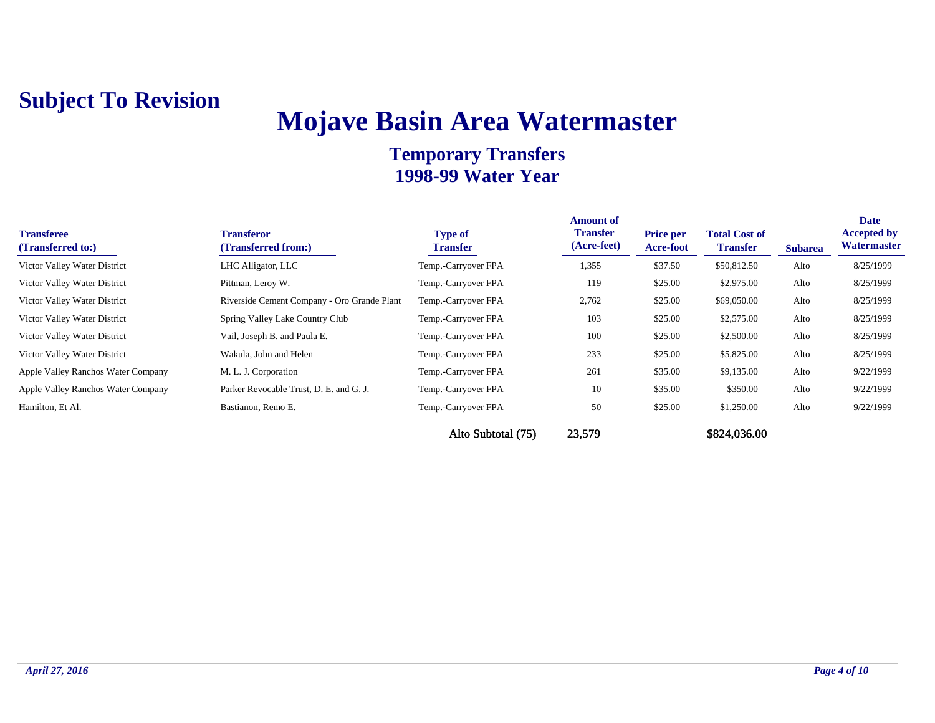## **Mojave Basin Area Watermaster**

| <b>Transferee</b><br>(Transferred to:) | <b>Transferor</b><br>(Transferred from:)    | <b>Type of</b><br><b>Transfer</b> | <b>Amount of</b><br><b>Transfer</b><br>(Acre-feet) | <b>Price per</b><br>Acre-foot | <b>Total Cost of</b><br><b>Transfer</b> | <b>Subarea</b> | <b>Date</b><br><b>Accepted by</b><br>Watermaster |
|----------------------------------------|---------------------------------------------|-----------------------------------|----------------------------------------------------|-------------------------------|-----------------------------------------|----------------|--------------------------------------------------|
| Victor Valley Water District           | LHC Alligator, LLC                          | Temp.-Carryover FPA               | 1,355                                              | \$37.50                       | \$50,812.50                             | Alto           | 8/25/1999                                        |
| Victor Valley Water District           | Pittman, Leroy W.                           | Temp.-Carryover FPA               | 119                                                | \$25.00                       | \$2,975.00                              | Alto           | 8/25/1999                                        |
| Victor Valley Water District           | Riverside Cement Company - Oro Grande Plant | Temp.-Carryover FPA               | 2,762                                              | \$25.00                       | \$69,050.00                             | Alto           | 8/25/1999                                        |
| Victor Valley Water District           | Spring Valley Lake Country Club             | Temp.-Carryover FPA               | 103                                                | \$25.00                       | \$2,575.00                              | Alto           | 8/25/1999                                        |
| Victor Valley Water District           | Vail, Joseph B. and Paula E.                | Temp.-Carryover FPA               | 100                                                | \$25.00                       | \$2,500.00                              | Alto           | 8/25/1999                                        |
| Victor Valley Water District           | Wakula, John and Helen                      | Temp.-Carryover FPA               | 233                                                | \$25.00                       | \$5,825.00                              | Alto           | 8/25/1999                                        |
| Apple Valley Ranchos Water Company     | M. L. J. Corporation                        | Temp.-Carryover FPA               | 261                                                | \$35.00                       | \$9,135.00                              | Alto           | 9/22/1999                                        |
| Apple Valley Ranchos Water Company     | Parker Revocable Trust, D. E. and G. J.     | Temp.-Carryover FPA               | 10                                                 | \$35.00                       | \$350.00                                | Alto           | 9/22/1999                                        |
| Hamilton, Et Al.                       | Bastianon, Remo E.                          | Temp.-Carryover FPA               | 50                                                 | \$25.00                       | \$1,250.00                              | Alto           | 9/22/1999                                        |
|                                        |                                             | Alto Subtotal (75)                | 23,579                                             |                               | \$824,036.00                            |                |                                                  |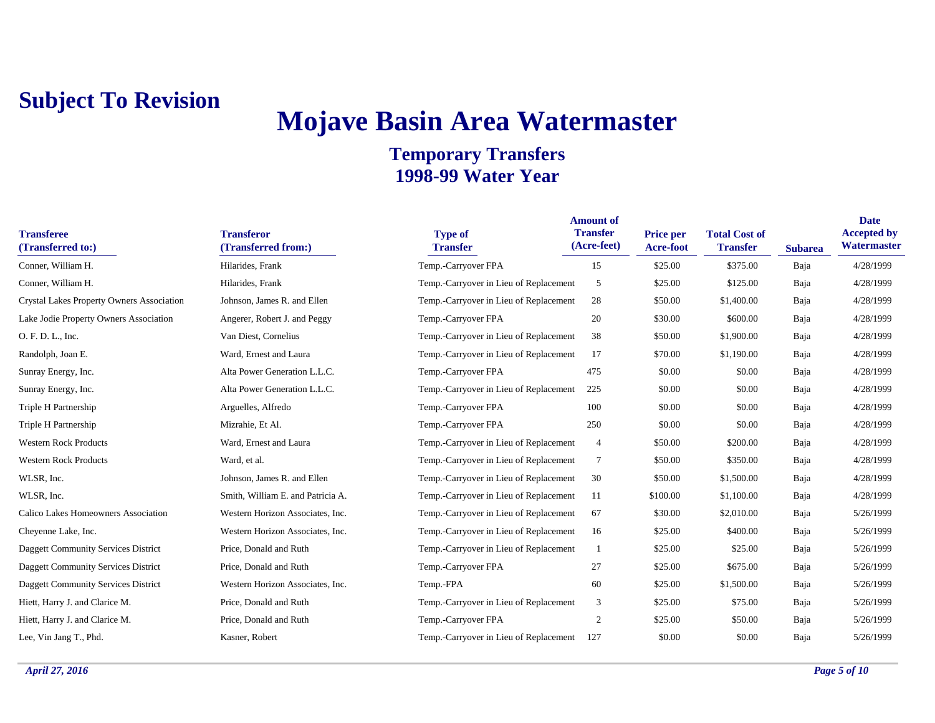## **Mojave Basin Area Watermaster**

| <b>Transferee</b><br>(Transferred to:)     | <b>Transferor</b><br>(Transferred from:) | <b>Type of</b><br><b>Transfer</b>      | <b>Amount of</b><br><b>Transfer</b><br>(Acre-feet) | <b>Price per</b><br><b>Acre-foot</b> | <b>Total Cost of</b><br><b>Transfer</b> | <b>Subarea</b> | <b>Date</b><br><b>Accepted by</b><br>Watermaster |
|--------------------------------------------|------------------------------------------|----------------------------------------|----------------------------------------------------|--------------------------------------|-----------------------------------------|----------------|--------------------------------------------------|
| Conner, William H.                         | Hilarides, Frank                         | Temp.-Carryover FPA                    | 15                                                 | \$25.00                              | \$375.00                                | Baja           | 4/28/1999                                        |
| Conner, William H.                         | Hilarides, Frank                         | Temp.-Carryover in Lieu of Replacement | 5                                                  | \$25.00                              | \$125.00                                | Baja           | 4/28/1999                                        |
| Crystal Lakes Property Owners Association  | Johnson, James R. and Ellen              | Temp.-Carryover in Lieu of Replacement | 28                                                 | \$50.00                              | \$1,400.00                              | Baja           | 4/28/1999                                        |
| Lake Jodie Property Owners Association     | Angerer, Robert J. and Peggy             | Temp.-Carryover FPA                    | 20                                                 | \$30.00                              | \$600.00                                | Baja           | 4/28/1999                                        |
| O. F. D. L., Inc.                          | Van Diest, Cornelius                     | Temp.-Carryover in Lieu of Replacement | 38                                                 | \$50.00                              | \$1,900.00                              | Baja           | 4/28/1999                                        |
| Randolph, Joan E.                          | Ward, Ernest and Laura                   | Temp.-Carryover in Lieu of Replacement | 17                                                 | \$70.00                              | \$1,190.00                              | Baja           | 4/28/1999                                        |
| Sunray Energy, Inc.                        | Alta Power Generation L.L.C.             | Temp.-Carryover FPA                    | 475                                                | \$0.00                               | \$0.00                                  | Baja           | 4/28/1999                                        |
| Sunray Energy, Inc.                        | Alta Power Generation L.L.C.             | Temp.-Carryover in Lieu of Replacement | 225                                                | \$0.00                               | \$0.00                                  | Baja           | 4/28/1999                                        |
| Triple H Partnership                       | Arguelles, Alfredo                       | Temp.-Carryover FPA                    | 100                                                | \$0.00                               | \$0.00                                  | Baja           | 4/28/1999                                        |
| Triple H Partnership                       | Mizrahie, Et Al.                         | Temp.-Carryover FPA                    | 250                                                | \$0.00                               | \$0.00                                  | Baja           | 4/28/1999                                        |
| <b>Western Rock Products</b>               | Ward, Ernest and Laura                   | Temp.-Carryover in Lieu of Replacement | $\overline{4}$                                     | \$50.00                              | \$200.00                                | Baja           | 4/28/1999                                        |
| <b>Western Rock Products</b>               | Ward, et al.                             | Temp.-Carryover in Lieu of Replacement | $\tau$                                             | \$50.00                              | \$350.00                                | Baja           | 4/28/1999                                        |
| WLSR, Inc.                                 | Johnson, James R. and Ellen              | Temp.-Carryover in Lieu of Replacement | 30                                                 | \$50.00                              | \$1,500.00                              | Baja           | 4/28/1999                                        |
| WLSR, Inc.                                 | Smith, William E. and Patricia A.        | Temp.-Carryover in Lieu of Replacement | -11                                                | \$100.00                             | \$1,100.00                              | Baja           | 4/28/1999                                        |
| Calico Lakes Homeowners Association        | Western Horizon Associates, Inc.         | Temp.-Carryover in Lieu of Replacement | 67                                                 | \$30.00                              | \$2,010.00                              | Baja           | 5/26/1999                                        |
| Cheyenne Lake, Inc.                        | Western Horizon Associates, Inc.         | Temp.-Carryover in Lieu of Replacement | 16                                                 | \$25.00                              | \$400.00                                | Baja           | 5/26/1999                                        |
| Daggett Community Services District        | Price, Donald and Ruth                   | Temp.-Carryover in Lieu of Replacement |                                                    | \$25.00                              | \$25.00                                 | Baja           | 5/26/1999                                        |
| <b>Daggett Community Services District</b> | Price, Donald and Ruth                   | Temp.-Carryover FPA                    | 27                                                 | \$25.00                              | \$675.00                                | Baja           | 5/26/1999                                        |
| <b>Daggett Community Services District</b> | Western Horizon Associates, Inc.         | Temp.-FPA                              | 60                                                 | \$25.00                              | \$1,500.00                              | Baja           | 5/26/1999                                        |
| Hiett, Harry J. and Clarice M.             | Price, Donald and Ruth                   | Temp.-Carryover in Lieu of Replacement | 3                                                  | \$25.00                              | \$75.00                                 | Baja           | 5/26/1999                                        |
| Hiett, Harry J. and Clarice M.             | Price, Donald and Ruth                   | Temp.-Carryover FPA                    | $\overline{2}$                                     | \$25.00                              | \$50.00                                 | Baja           | 5/26/1999                                        |
| Lee, Vin Jang T., Phd.                     | Kasner, Robert                           | Temp.-Carryover in Lieu of Replacement | 127                                                | \$0.00                               | \$0.00                                  | Baja           | 5/26/1999                                        |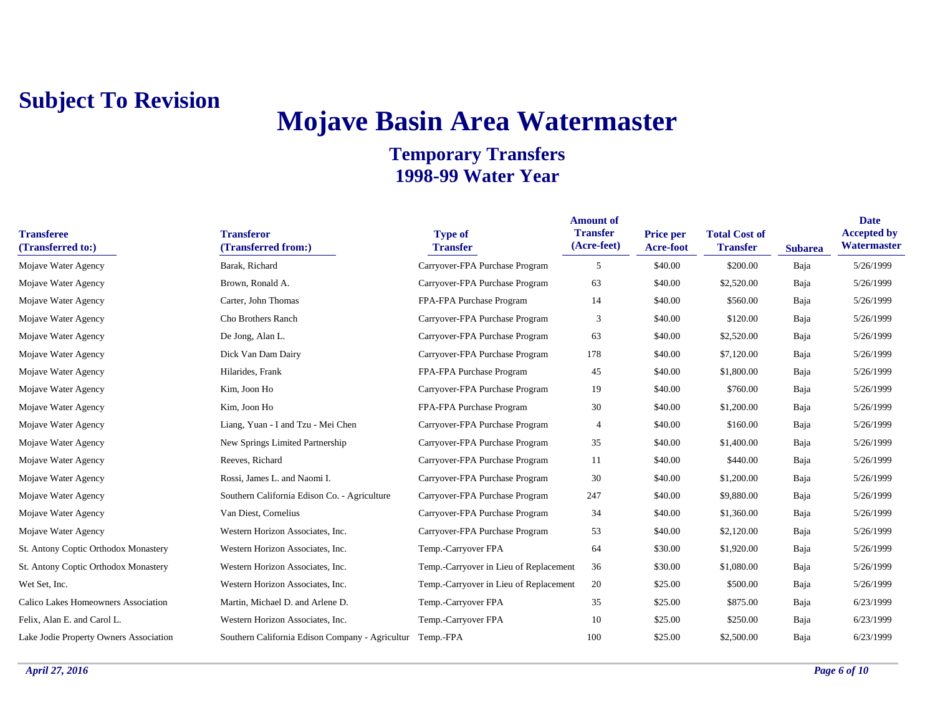## **Mojave Basin Area Watermaster**

| <b>Transferee</b><br>(Transferred to:) | <b>Transferor</b><br>(Transferred from:)                  | <b>Type of</b><br><b>Transfer</b>      | <b>Amount of</b><br><b>Transfer</b><br>(Acre-feet) | Price per<br>Acre-foot | <b>Total Cost of</b><br><b>Transfer</b> | <b>Subarea</b> | <b>Date</b><br><b>Accepted by</b><br>Watermaster |
|----------------------------------------|-----------------------------------------------------------|----------------------------------------|----------------------------------------------------|------------------------|-----------------------------------------|----------------|--------------------------------------------------|
| Mojave Water Agency                    | Barak, Richard                                            | Carryover-FPA Purchase Program         | 5                                                  | \$40.00                | \$200.00                                | Baja           | 5/26/1999                                        |
| Mojave Water Agency                    | Brown, Ronald A.                                          | Carryover-FPA Purchase Program         | 63                                                 | \$40.00                | \$2,520.00                              | Baja           | 5/26/1999                                        |
| Mojave Water Agency                    | Carter, John Thomas                                       | FPA-FPA Purchase Program               | 14                                                 | \$40.00                | \$560.00                                | Baja           | 5/26/1999                                        |
| Mojave Water Agency                    | Cho Brothers Ranch                                        | Carryover-FPA Purchase Program         | 3                                                  | \$40.00                | \$120.00                                | Baja           | 5/26/1999                                        |
| Mojave Water Agency                    | De Jong, Alan L.                                          | Carryover-FPA Purchase Program         | 63                                                 | \$40.00                | \$2,520.00                              | Baja           | 5/26/1999                                        |
| Mojave Water Agency                    | Dick Van Dam Dairy                                        | Carryover-FPA Purchase Program         | 178                                                | \$40.00                | \$7,120.00                              | Baja           | 5/26/1999                                        |
| Mojave Water Agency                    | Hilarides, Frank                                          | FPA-FPA Purchase Program               | 45                                                 | \$40.00                | \$1,800.00                              | Baja           | 5/26/1999                                        |
| Mojave Water Agency                    | Kim, Joon Ho                                              | Carryover-FPA Purchase Program         | 19                                                 | \$40.00                | \$760.00                                | Baja           | 5/26/1999                                        |
| Mojave Water Agency                    | Kim, Joon Ho                                              | FPA-FPA Purchase Program               | 30                                                 | \$40.00                | \$1,200.00                              | Baja           | 5/26/1999                                        |
| Mojave Water Agency                    | Liang, Yuan - I and Tzu - Mei Chen                        | Carryover-FPA Purchase Program         | $\overline{4}$                                     | \$40.00                | \$160.00                                | Baja           | 5/26/1999                                        |
| Mojave Water Agency                    | New Springs Limited Partnership                           | Carryover-FPA Purchase Program         | 35                                                 | \$40.00                | \$1,400.00                              | Baja           | 5/26/1999                                        |
| Mojave Water Agency                    | Reeves, Richard                                           | Carryover-FPA Purchase Program         | 11                                                 | \$40.00                | \$440.00                                | Baja           | 5/26/1999                                        |
| Mojave Water Agency                    | Rossi, James L. and Naomi I.                              | Carryover-FPA Purchase Program         | 30                                                 | \$40.00                | \$1,200.00                              | Baja           | 5/26/1999                                        |
| Mojave Water Agency                    | Southern California Edison Co. - Agriculture              | Carryover-FPA Purchase Program         | 247                                                | \$40.00                | \$9,880.00                              | Baja           | 5/26/1999                                        |
| Mojave Water Agency                    | Van Diest, Cornelius                                      | Carryover-FPA Purchase Program         | 34                                                 | \$40.00                | \$1,360.00                              | Baja           | 5/26/1999                                        |
| Mojave Water Agency                    | Western Horizon Associates, Inc.                          | Carryover-FPA Purchase Program         | 53                                                 | \$40.00                | \$2,120.00                              | Baja           | 5/26/1999                                        |
| St. Antony Coptic Orthodox Monastery   | Western Horizon Associates, Inc.                          | Temp.-Carryover FPA                    | 64                                                 | \$30.00                | \$1,920.00                              | Baja           | 5/26/1999                                        |
| St. Antony Coptic Orthodox Monastery   | Western Horizon Associates, Inc.                          | Temp.-Carryover in Lieu of Replacement | 36                                                 | \$30.00                | \$1,080.00                              | Baja           | 5/26/1999                                        |
| Wet Set, Inc.                          | Western Horizon Associates, Inc.                          | Temp.-Carryover in Lieu of Replacement | 20                                                 | \$25.00                | \$500.00                                | Baja           | 5/26/1999                                        |
| Calico Lakes Homeowners Association    | Martin, Michael D. and Arlene D.                          | Temp.-Carryover FPA                    | 35                                                 | \$25.00                | \$875.00                                | Baja           | 6/23/1999                                        |
| Felix, Alan E. and Carol L.            | Western Horizon Associates, Inc.                          | Temp.-Carryover FPA                    | 10                                                 | \$25.00                | \$250.00                                | Baja           | 6/23/1999                                        |
| Lake Jodie Property Owners Association | Southern California Edison Company - Agricultur Temp.-FPA |                                        | 100                                                | \$25.00                | \$2,500.00                              | Baja           | 6/23/1999                                        |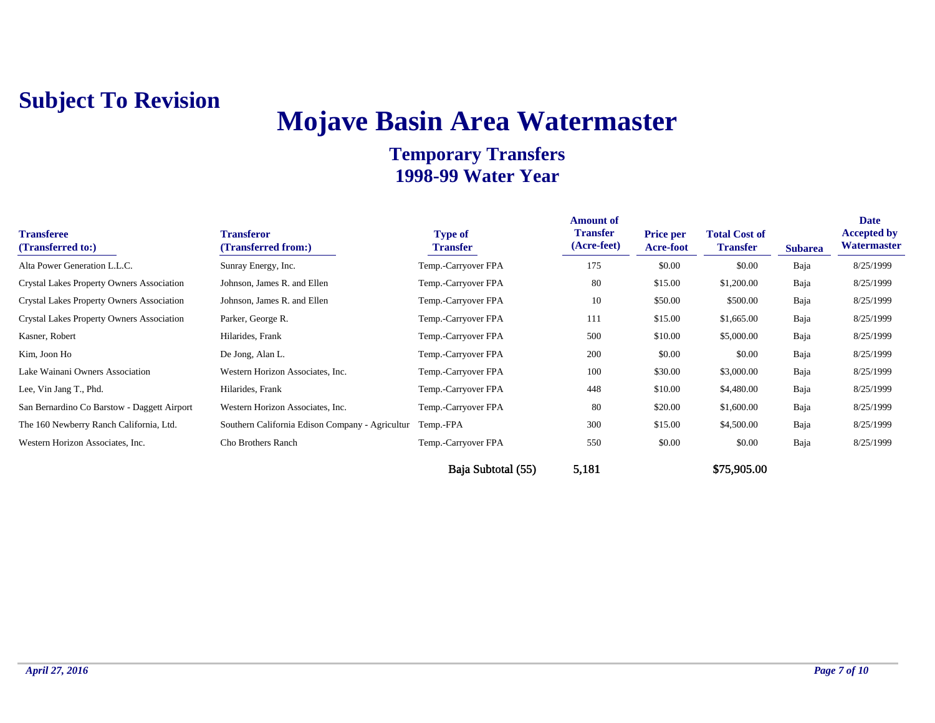## **Mojave Basin Area Watermaster**

| <b>Transferee</b><br>(Transferred to:)           | <b>Transferor</b><br>(Transferred from:)        | <b>Type of</b><br>Transfer | <b>Amount of</b><br><b>Transfer</b><br>(Acre-feet) | <b>Price per</b><br><b>Acre-foot</b> | <b>Total Cost of</b><br><b>Transfer</b> | <b>Subarea</b> | <b>Date</b><br><b>Accepted by</b><br>Watermaster |
|--------------------------------------------------|-------------------------------------------------|----------------------------|----------------------------------------------------|--------------------------------------|-----------------------------------------|----------------|--------------------------------------------------|
| Alta Power Generation L.L.C.                     | Sunray Energy, Inc.                             | Temp.-Carryover FPA        | 175                                                | \$0.00                               | \$0.00                                  | Baja           | 8/25/1999                                        |
| <b>Crystal Lakes Property Owners Association</b> | Johnson, James R. and Ellen                     | Temp.-Carryover FPA        | 80                                                 | \$15.00                              | \$1,200.00                              | Baja           | 8/25/1999                                        |
| <b>Crystal Lakes Property Owners Association</b> | Johnson, James R. and Ellen                     | Temp.-Carryover FPA        | 10                                                 | \$50.00                              | \$500.00                                | Baja           | 8/25/1999                                        |
| <b>Crystal Lakes Property Owners Association</b> | Parker, George R.                               | Temp.-Carryover FPA        | 111                                                | \$15.00                              | \$1,665.00                              | Baja           | 8/25/1999                                        |
| Kasner, Robert                                   | Hilarides, Frank                                | Temp.-Carryover FPA        | 500                                                | \$10.00                              | \$5,000.00                              | Baja           | 8/25/1999                                        |
| Kim, Joon Ho                                     | De Jong, Alan L.                                | Temp.-Carryover FPA        | 200                                                | \$0.00                               | \$0.00                                  | Baja           | 8/25/1999                                        |
| Lake Wainani Owners Association                  | Western Horizon Associates, Inc.                | Temp.-Carryover FPA        | 100                                                | \$30.00                              | \$3,000.00                              | Baja           | 8/25/1999                                        |
| Lee, Vin Jang T., Phd.                           | Hilarides, Frank                                | Temp.-Carryover FPA        | 448                                                | \$10.00                              | \$4,480.00                              | Baja           | 8/25/1999                                        |
| San Bernardino Co Barstow - Daggett Airport      | Western Horizon Associates, Inc.                | Temp.-Carryover FPA        | 80                                                 | \$20.00                              | \$1,600.00                              | Baja           | 8/25/1999                                        |
| The 160 Newberry Ranch California, Ltd.          | Southern California Edison Company - Agricultur | Temp.-FPA                  | 300                                                | \$15.00                              | \$4,500.00                              | Baja           | 8/25/1999                                        |
| Western Horizon Associates, Inc.                 | Cho Brothers Ranch                              | Temp.-Carryover FPA        | 550                                                | \$0.00                               | \$0.00                                  | Baja           | 8/25/1999                                        |
|                                                  |                                                 | Baja Subtotal (55)         | 5,181                                              |                                      | \$75,905.00                             |                |                                                  |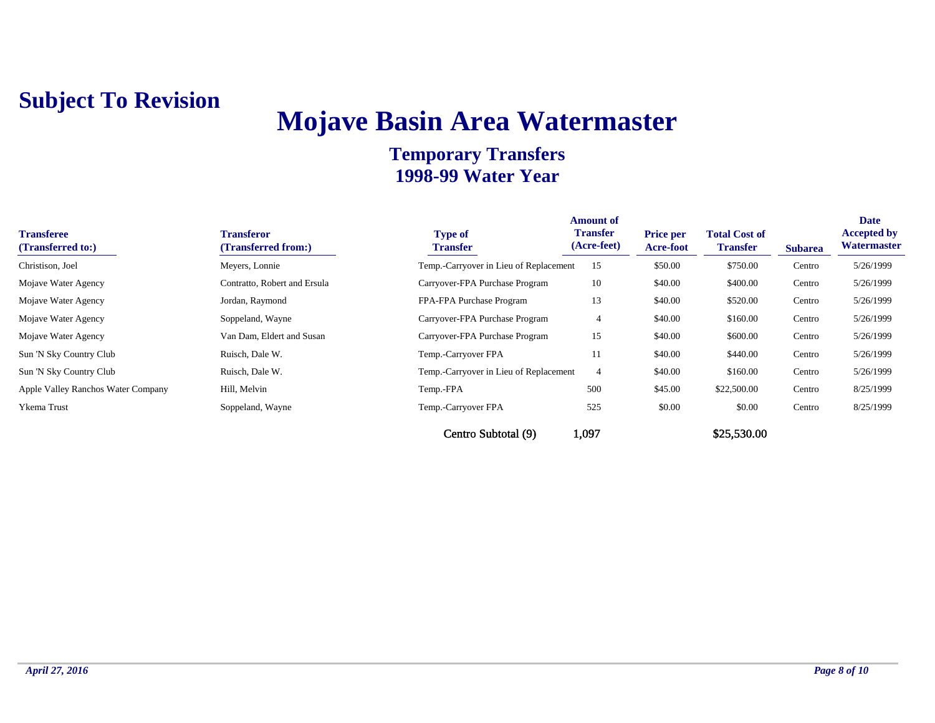## **Mojave Basin Area Watermaster**

| <b>Transferee</b><br>(Transferred to:) | <b>Transferor</b><br>(Transferred from:) | <b>Type of</b><br><b>Transfer</b>      | <b>Amount of</b><br><b>Transfer</b><br>(Acre-feet) | <b>Price per</b><br><b>Acre-foot</b> | <b>Total Cost of</b><br><b>Transfer</b> | <b>Subarea</b> | <b>Date</b><br><b>Accepted by</b><br>Watermaster |
|----------------------------------------|------------------------------------------|----------------------------------------|----------------------------------------------------|--------------------------------------|-----------------------------------------|----------------|--------------------------------------------------|
| Christison, Joel                       | Meyers, Lonnie                           | Temp.-Carryover in Lieu of Replacement | 15                                                 | \$50.00                              | \$750.00                                | Centro         | 5/26/1999                                        |
| Mojave Water Agency                    | Contratto, Robert and Ersula             | Carryover-FPA Purchase Program         | 10                                                 | \$40.00                              | \$400.00                                | Centro         | 5/26/1999                                        |
| Mojave Water Agency                    | Jordan, Raymond                          | FPA-FPA Purchase Program               | 13                                                 | \$40.00                              | \$520.00                                | Centro         | 5/26/1999                                        |
| Mojave Water Agency                    | Soppeland, Wayne                         | Carryover-FPA Purchase Program         | 4                                                  | \$40.00                              | \$160.00                                | Centro         | 5/26/1999                                        |
| Mojave Water Agency                    | Van Dam, Eldert and Susan                | Carryover-FPA Purchase Program         | 15                                                 | \$40.00                              | \$600.00                                | Centro         | 5/26/1999                                        |
| Sun 'N Sky Country Club                | Ruisch, Dale W.                          | Temp.-Carryover FPA                    | 11                                                 | \$40.00                              | \$440.00                                | Centro         | 5/26/1999                                        |
| Sun 'N Sky Country Club                | Ruisch, Dale W.                          | Temp.-Carryover in Lieu of Replacement | 4                                                  | \$40.00                              | \$160.00                                | Centro         | 5/26/1999                                        |
| Apple Valley Ranchos Water Company     | Hill, Melvin                             | Temp.-FPA                              | 500                                                | \$45.00                              | \$22,500.00                             | Centro         | 8/25/1999                                        |
| Ykema Trust                            | Soppeland, Wayne                         | Temp.-Carryover FPA                    | 525                                                | \$0.00                               | \$0.00                                  | Centro         | 8/25/1999                                        |
|                                        |                                          | Centro Subtotal (9)                    | 1,097                                              |                                      | \$25,530.00                             |                |                                                  |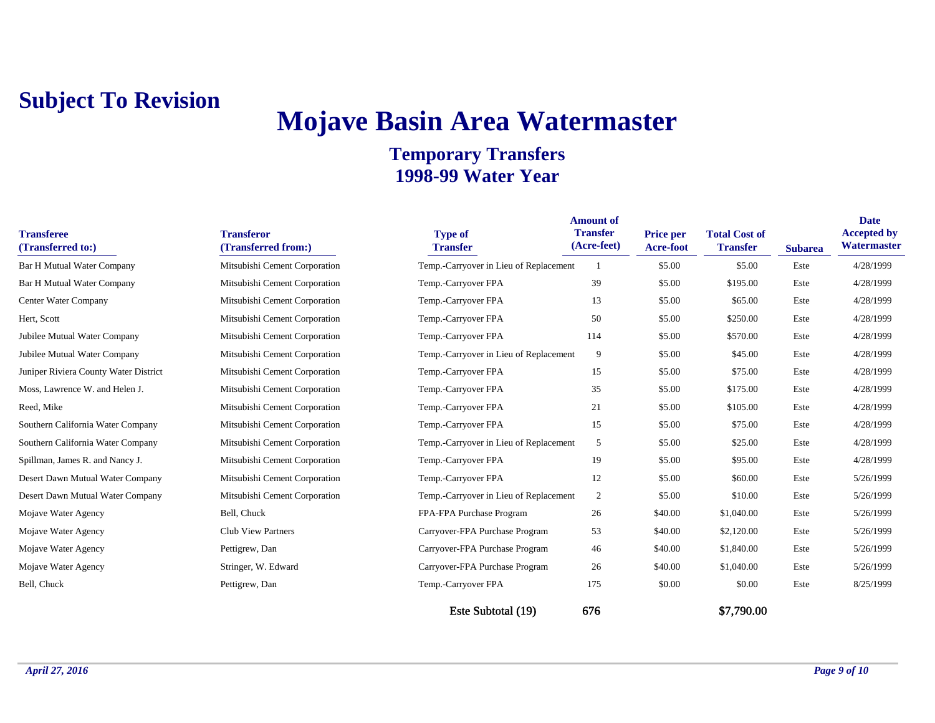## **Mojave Basin Area Watermaster**

| <b>Transferee</b><br>(Transferred to:) | <b>Transferor</b><br>(Transferred from:) | <b>Type of</b><br><b>Transfer</b>      | <b>Amount of</b><br><b>Transfer</b><br>(Acre-feet) | <b>Price per</b><br><b>Acre-foot</b> | <b>Total Cost of</b><br><b>Transfer</b> |                        | <b>Date</b><br><b>Accepted by</b><br>Watermaster |
|----------------------------------------|------------------------------------------|----------------------------------------|----------------------------------------------------|--------------------------------------|-----------------------------------------|------------------------|--------------------------------------------------|
| <b>Bar H Mutual Water Company</b>      | Mitsubishi Cement Corporation            | Temp.-Carryover in Lieu of Replacement |                                                    | \$5.00                               | \$5.00                                  | <b>Subarea</b><br>Este | 4/28/1999                                        |
|                                        |                                          |                                        |                                                    |                                      |                                         |                        |                                                  |
| <b>Bar H Mutual Water Company</b>      | Mitsubishi Cement Corporation            | Temp.-Carryover FPA                    | 39                                                 | \$5.00                               | \$195.00                                | Este                   | 4/28/1999                                        |
| Center Water Company                   | Mitsubishi Cement Corporation            | Temp.-Carryover FPA                    | 13                                                 | \$5.00                               | \$65.00                                 | Este                   | 4/28/1999                                        |
| Hert, Scott                            | Mitsubishi Cement Corporation            | Temp.-Carryover FPA                    | 50                                                 | \$5.00                               | \$250.00                                | Este                   | 4/28/1999                                        |
| Jubilee Mutual Water Company           | Mitsubishi Cement Corporation            | Temp.-Carryover FPA                    | 114                                                | \$5.00                               | \$570.00                                | Este                   | 4/28/1999                                        |
| Jubilee Mutual Water Company           | Mitsubishi Cement Corporation            | Temp.-Carryover in Lieu of Replacement | 9                                                  | \$5.00                               | \$45.00                                 | Este                   | 4/28/1999                                        |
| Juniper Riviera County Water District  | Mitsubishi Cement Corporation            | Temp.-Carryover FPA                    | 15                                                 | \$5.00                               | \$75.00                                 | Este                   | 4/28/1999                                        |
| Moss, Lawrence W. and Helen J.         | Mitsubishi Cement Corporation            | Temp.-Carryover FPA                    | 35                                                 | \$5.00                               | \$175.00                                | Este                   | 4/28/1999                                        |
| Reed, Mike                             | Mitsubishi Cement Corporation            | Temp.-Carryover FPA                    | 21                                                 | \$5.00                               | \$105.00                                | Este                   | 4/28/1999                                        |
| Southern California Water Company      | Mitsubishi Cement Corporation            | Temp.-Carryover FPA                    | 15                                                 | \$5.00                               | \$75.00                                 | Este                   | 4/28/1999                                        |
| Southern California Water Company      | Mitsubishi Cement Corporation            | Temp.-Carryover in Lieu of Replacement | 5                                                  | \$5.00                               | \$25.00                                 | Este                   | 4/28/1999                                        |
| Spillman, James R. and Nancy J.        | Mitsubishi Cement Corporation            | Temp.-Carryover FPA                    | 19                                                 | \$5.00                               | \$95.00                                 | Este                   | 4/28/1999                                        |
| Desert Dawn Mutual Water Company       | Mitsubishi Cement Corporation            | Temp.-Carryover FPA                    | 12                                                 | \$5.00                               | \$60.00                                 | Este                   | 5/26/1999                                        |
| Desert Dawn Mutual Water Company       | Mitsubishi Cement Corporation            | Temp.-Carryover in Lieu of Replacement | 2                                                  | \$5.00                               | \$10.00                                 | Este                   | 5/26/1999                                        |
| Mojave Water Agency                    | Bell, Chuck                              | FPA-FPA Purchase Program               | 26                                                 | \$40.00                              | \$1,040.00                              | Este                   | 5/26/1999                                        |
| Mojave Water Agency                    | <b>Club View Partners</b>                | Carryover-FPA Purchase Program         | 53                                                 | \$40.00                              | \$2,120.00                              | Este                   | 5/26/1999                                        |
| Mojave Water Agency                    | Pettigrew, Dan                           | Carryover-FPA Purchase Program         | 46                                                 | \$40.00                              | \$1,840.00                              | Este                   | 5/26/1999                                        |
| Mojave Water Agency                    | Stringer, W. Edward                      | Carryover-FPA Purchase Program         | 26                                                 | \$40.00                              | \$1,040.00                              | Este                   | 5/26/1999                                        |
| Bell, Chuck                            | Pettigrew, Dan                           | Temp.-Carryover FPA                    | 175                                                | \$0.00                               | \$0.00                                  | Este                   | 8/25/1999                                        |
|                                        |                                          | Este Subtotal (19)                     | 676                                                |                                      | \$7,790.00                              |                        |                                                  |